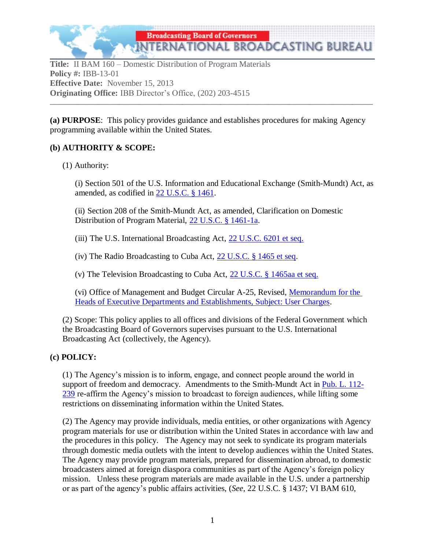

**Title:** II BAM 160 – Domestic Distribution of Program Materials **Policy #:** IBB-13-01 **Effective Date:** November 15, 2013 **Originating Office:** IBB Director's Office, (202) 203-4515

**(a) PURPOSE**: This policy provides guidance and establishes procedures for making Agency programming available within the United States.

**\_\_\_\_\_\_\_\_\_\_\_\_\_\_\_\_\_\_\_\_\_\_\_\_\_\_\_\_\_\_\_\_\_\_\_\_\_\_\_\_\_\_\_\_\_\_\_\_\_\_\_\_\_\_\_\_\_\_\_\_\_\_\_\_\_\_\_\_\_\_\_\_\_\_\_\_\_\_\_\_\_\_\_\_\_\_\_\_\_\_\_\_\_**

# **(b) AUTHORITY & SCOPE:**

### (1) Authority:

(i) Section 501 of the U.S. Information and Educational Exchange (Smith-Mundt) Act, as amended, as codified in 22 U.S.C. § 1461.

(ii) Section 208 of the Smith-Mundt Act, as amended, Clarification on Domestic Distribution of Program Material, [22 U.S.C. § 1461-1a.](http://www.gpo.gov/fdsys/pkg/BILLS-112hr4310enr/pdf/BILLS-112hr4310enr.pdf)

(iii) The U.S. International Broadcasting Act, [22 U.S.C. 6201 et seq.](http://www.gpo.gov/fdsys/pkg/USCODE-2011-title22/pdf/USCODE-2011-title22-chap71.pdf)

(iv) The Radio Broadcasting to Cuba Act, [22 U.S.C. § 1465 et seq.](http://www.gpo.gov/fdsys/pkg/USCODE-2011-title22/pdf/USCODE-2011-title22-chap18-subchapV-A.pdf)

(v) The Television Broadcasting to Cuba Act, [22 U.S.C. § 1465aa et seq.](http://www.gpo.gov/fdsys/pkg/USCODE-2011-title22/pdf/USCODE-2011-title22-chap18-subchapV-B.pdf)

(vi) Office of Management and Budget Circular A-25, Revised, [Memorandum for the](http://www.whitehouse.gov/omb/circulars_a025/)  [Heads of Executive Departments and Establishments, Subject: User Charges.](http://www.whitehouse.gov/omb/circulars_a025/)

(2) Scope: This policy applies to all offices and divisions of the Federal Government which the Broadcasting Board of Governors supervises pursuant to the U.S. International Broadcasting Act (collectively, the Agency).

# **(c) POLICY:**

(1) The Agency's mission is to inform, engage, and connect people around the world in support of freedom and democracy. Amendments to the Smith-Mundt Act in [Pub. L. 112-](http://www.gpo.gov/fdsys/pkg/BILLS-112hr4310enr/pdf/BILLS-112hr4310enr.pdf) [239](http://www.gpo.gov/fdsys/pkg/BILLS-112hr4310enr/pdf/BILLS-112hr4310enr.pdf) re-affirm the Agency's mission to broadcast to foreign audiences, while lifting some restrictions on disseminating information within the United States.

(2) The Agency may provide individuals, media entities, or other organizations with Agency program materials for use or distribution within the United States in accordance with law and the procedures in this policy. The Agency may not seek to syndicate its program materials through domestic media outlets with the intent to develop audiences within the United States. The Agency may provide program materials, prepared for dissemination abroad, to domestic broadcasters aimed at foreign diaspora communities as part of the Agency's foreign policy mission. Unless these program materials are made available in the U.S. under a partnership or as part of the agency's public affairs activities, (*See*, 22 U.S.C. § 1437; VI BAM 610,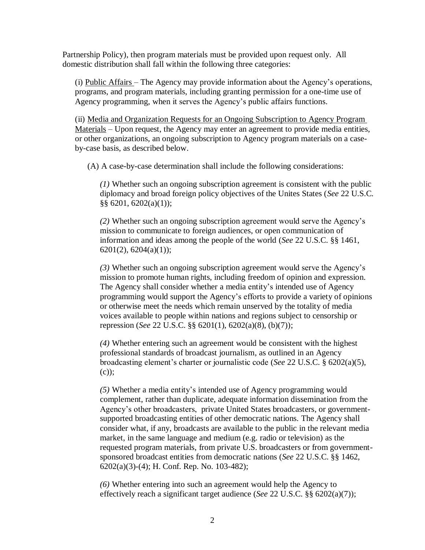Partnership Policy), then program materials must be provided upon request only. All domestic distribution shall fall within the following three categories:

(i) Public Affairs – The Agency may provide information about the Agency's operations, programs, and program materials, including granting permission for a one-time use of Agency programming, when it serves the Agency's public affairs functions.

(ii) Media and Organization Requests for an Ongoing Subscription to Agency Program Materials – Upon request, the Agency may enter an agreement to provide media entities, or other organizations, an ongoing subscription to Agency program materials on a caseby-case basis, as described below.

(A) A case-by-case determination shall include the following considerations:

*(1)* Whether such an ongoing subscription agreement is consistent with the public diplomacy and broad foreign policy objectives of the Unites States (*See* 22 U.S.C. §§ 6201, 6202(a)(1));

*(2)* Whether such an ongoing subscription agreement would serve the Agency's mission to communicate to foreign audiences, or open communication of information and ideas among the people of the world (*See* 22 U.S.C. §§ 1461,  $6201(2)$ ,  $6204(a)(1)$ ;

*(3)* Whether such an ongoing subscription agreement would serve the Agency's mission to promote human rights, including freedom of opinion and expression. The Agency shall consider whether a media entity's intended use of Agency programming would support the Agency's efforts to provide a variety of opinions or otherwise meet the needs which remain unserved by the totality of media voices available to people within nations and regions subject to censorship or repression (*See* 22 U.S.C. §§ 6201(1), 6202(a)(8), (b)(7));

*(4)* Whether entering such an agreement would be consistent with the highest professional standards of broadcast journalism, as outlined in an Agency broadcasting element's charter or journalistic code (*See* 22 U.S.C. § 6202(a)(5),  $(c)$ :

*(5)* Whether a media entity's intended use of Agency programming would complement, rather than duplicate, adequate information dissemination from the Agency's other broadcasters, private United States broadcasters, or governmentsupported broadcasting entities of other democratic nations. The Agency shall consider what, if any, broadcasts are available to the public in the relevant media market, in the same language and medium (e.g. radio or television) as the requested program materials, from private U.S. broadcasters or from governmentsponsored broadcast entities from democratic nations (*See* 22 U.S.C. §§ 1462, 6202(a)(3)-(4); H. Conf. Rep. No. 103-482);

*(6)* Whether entering into such an agreement would help the Agency to effectively reach a significant target audience (*See* 22 U.S.C. §§ 6202(a)(7));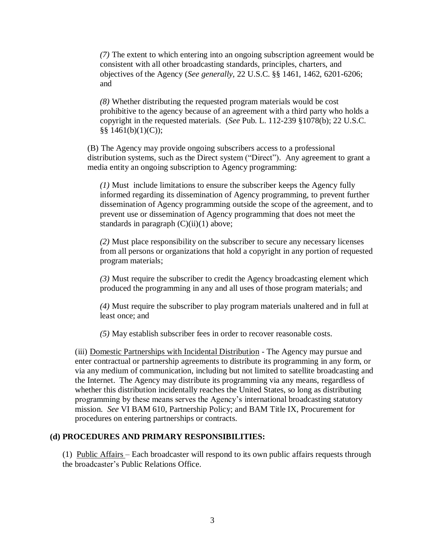*(7)* The extent to which entering into an ongoing subscription agreement would be consistent with all other broadcasting standards, principles, charters, and objectives of the Agency (*See generally*, 22 U.S.C. §§ 1461, 1462, 6201-6206; and

*(8)* Whether distributing the requested program materials would be cost prohibitive to the agency because of an agreement with a third party who holds a copyright in the requested materials. (*See* Pub. L. 112-239 §1078(b); 22 U.S.C. §§ 1461(b)(1)(C));

(B) The Agency may provide ongoing subscribers access to a professional distribution systems, such as the Direct system ("Direct"). Any agreement to grant a media entity an ongoing subscription to Agency programming:

*(1)* Must include limitations to ensure the subscriber keeps the Agency fully informed regarding its dissemination of Agency programming, to prevent further dissemination of Agency programming outside the scope of the agreement, and to prevent use or dissemination of Agency programming that does not meet the standards in paragraph  $(C)(ii)(1)$  above;

*(2)* Must place responsibility on the subscriber to secure any necessary licenses from all persons or organizations that hold a copyright in any portion of requested program materials;

*(3)* Must require the subscriber to credit the Agency broadcasting element which produced the programming in any and all uses of those program materials; and

*(4)* Must require the subscriber to play program materials unaltered and in full at least once; and

*(5)* May establish subscriber fees in order to recover reasonable costs.

(iii) Domestic Partnerships with Incidental Distribution - The Agency may pursue and enter contractual or partnership agreements to distribute its programming in any form, or via any medium of communication, including but not limited to satellite broadcasting and the Internet. The Agency may distribute its programming via any means, regardless of whether this distribution incidentally reaches the United States, so long as distributing programming by these means serves the Agency's international broadcasting statutory mission. *See* VI BAM 610, Partnership Policy; and BAM Title IX, Procurement for procedures on entering partnerships or contracts.

#### **(d) PROCEDURES AND PRIMARY RESPONSIBILITIES:**

(1) Public Affairs – Each broadcaster will respond to its own public affairs requests through the broadcaster's Public Relations Office.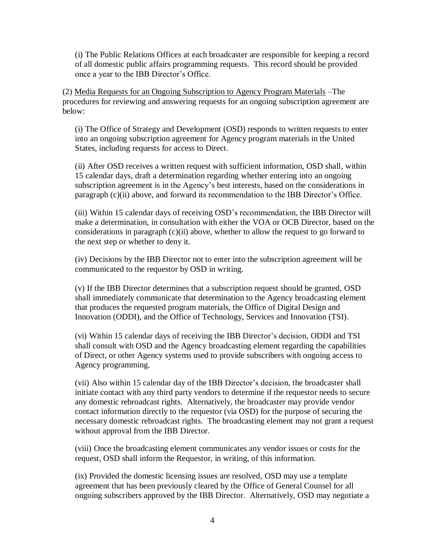(i) The Public Relations Offices at each broadcaster are responsible for keeping a record of all domestic public affairs programming requests. This record should be provided once a year to the IBB Director's Office.

(2) Media Requests for an Ongoing Subscription to Agency Program Materials –The procedures for reviewing and answering requests for an ongoing subscription agreement are below:

(i) The Office of Strategy and Development (OSD) responds to written requests to enter into an ongoing subscription agreement for Agency program materials in the United States, including requests for access to Direct.

(ii) After OSD receives a written request with sufficient information, OSD shall, within 15 calendar days, draft a determination regarding whether entering into an ongoing subscription agreement is in the Agency's best interests, based on the considerations in paragraph (c)(ii) above, and forward its recommendation to the IBB Director's Office.

(iii) Within 15 calendar days of receiving OSD's recommendation, the IBB Director will make a determination, in consultation with either the VOA or OCB Director, based on the considerations in paragraph  $(c)(ii)$  above, whether to allow the request to go forward to the next step or whether to deny it.

(iv) Decisions by the IBB Director not to enter into the subscription agreement will be communicated to the requestor by OSD in writing.

(v) If the IBB Director determines that a subscription request should be granted, OSD shall immediately communicate that determination to the Agency broadcasting element that produces the requested program materials, the Office of Digital Design and Innovation (ODDI), and the Office of Technology, Services and Innovation (TSI).

(vi) Within 15 calendar days of receiving the IBB Director's decision, ODDI and TSI shall consult with OSD and the Agency broadcasting element regarding the capabilities of Direct, or other Agency systems used to provide subscribers with ongoing access to Agency programming.

(vii) Also within 15 calendar day of the IBB Director's decision, the broadcaster shall initiate contact with any third party vendors to determine if the requestor needs to secure any domestic rebroadcast rights. Alternatively, the broadcaster may provide vendor contact information directly to the requestor (via OSD) for the purpose of securing the necessary domestic rebroadcast rights. The broadcasting element may not grant a request without approval from the IBB Director.

(viii) Once the broadcasting element communicates any vendor issues or costs for the request, OSD shall inform the Requestor, in writing, of this information.

(ix) Provided the domestic licensing issues are resolved, OSD may use a template agreement that has been previously cleared by the Office of General Counsel for all ongoing subscribers approved by the IBB Director. Alternatively, OSD may negotiate a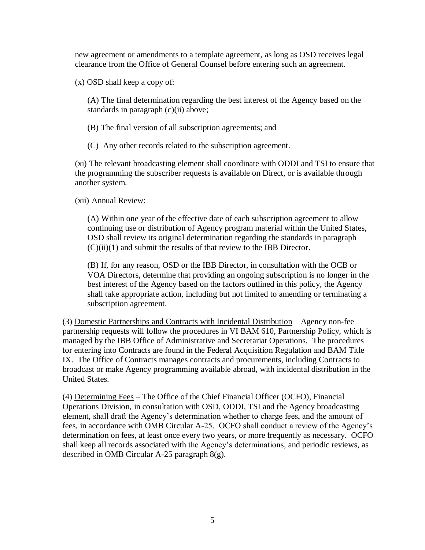new agreement or amendments to a template agreement, as long as OSD receives legal clearance from the Office of General Counsel before entering such an agreement.

(x) OSD shall keep a copy of:

(A) The final determination regarding the best interest of the Agency based on the standards in paragraph (c)(ii) above;

(B) The final version of all subscription agreements; and

(C) Any other records related to the subscription agreement.

(xi) The relevant broadcasting element shall coordinate with ODDI and TSI to ensure that the programming the subscriber requests is available on Direct, or is available through another system.

(xii) Annual Review:

(A) Within one year of the effective date of each subscription agreement to allow continuing use or distribution of Agency program material within the United States, OSD shall review its original determination regarding the standards in paragraph (C)(ii)(1) and submit the results of that review to the IBB Director.

(B) If, for any reason, OSD or the IBB Director, in consultation with the OCB or VOA Directors, determine that providing an ongoing subscription is no longer in the best interest of the Agency based on the factors outlined in this policy, the Agency shall take appropriate action, including but not limited to amending or terminating a subscription agreement.

(3) Domestic Partnerships and Contracts with Incidental Distribution – Agency non-fee partnership requests will follow the procedures in VI BAM 610, Partnership Policy, which is managed by the IBB Office of Administrative and Secretariat Operations. The procedures for entering into Contracts are found in the Federal Acquisition Regulation and BAM Title IX. The Office of Contracts manages contracts and procurements, including Contracts to broadcast or make Agency programming available abroad, with incidental distribution in the United States.

(4) Determining Fees – The Office of the Chief Financial Officer (OCFO), Financial Operations Division, in consultation with OSD, ODDI, TSI and the Agency broadcasting element, shall draft the Agency's determination whether to charge fees, and the amount of fees, in accordance with OMB Circular A-25. OCFO shall conduct a review of the Agency's determination on fees, at least once every two years, or more frequently as necessary. OCFO shall keep all records associated with the Agency's determinations, and periodic reviews, as described in OMB Circular A-25 paragraph 8(g).